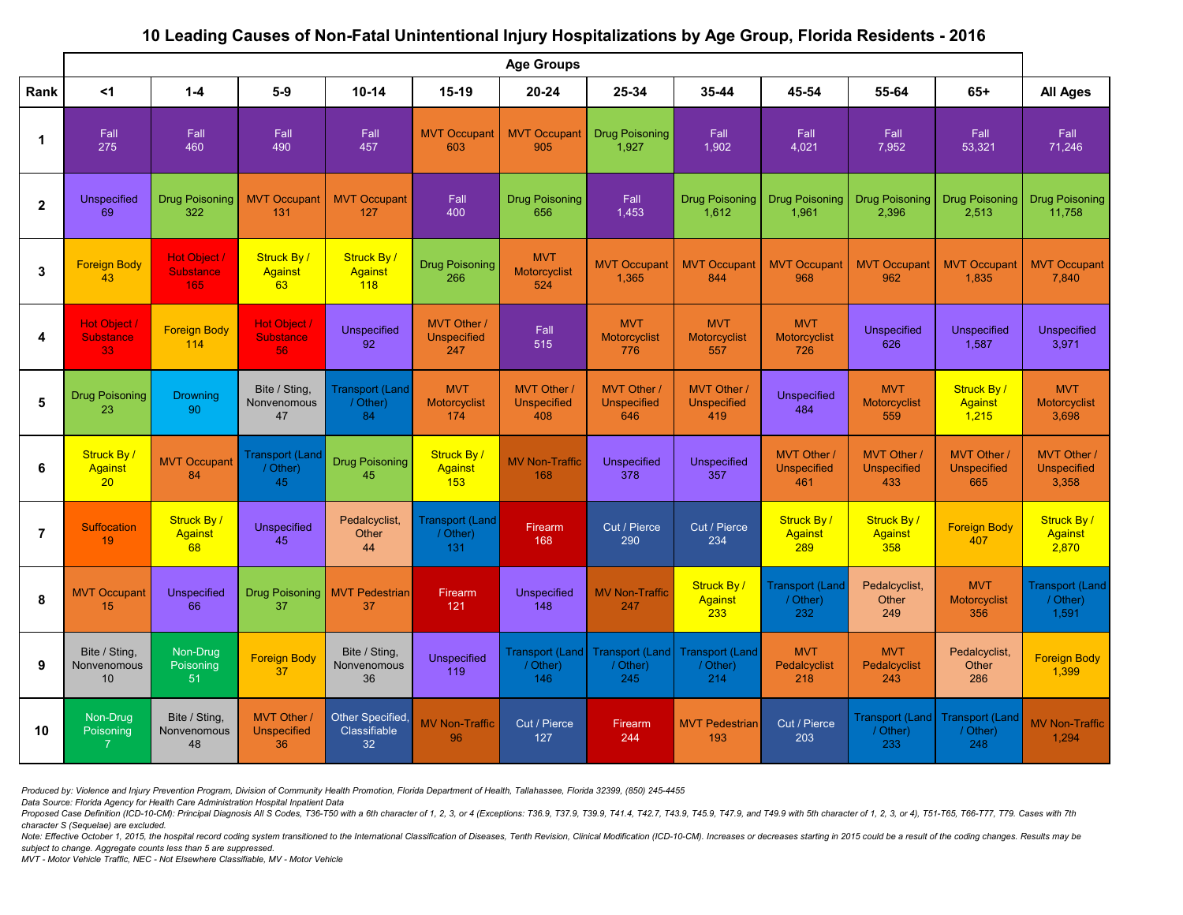## **10 Leading Causes of Non-Fatal Unintentional Injury Hospitalizations by Age Group, Florida Residents - 2016**

|                | <b>Age Groups</b>                               |                                                |                                               |                                          |                                            |                                                |                                          |                                                |                                            |                                                 |                                                 |                                             |
|----------------|-------------------------------------------------|------------------------------------------------|-----------------------------------------------|------------------------------------------|--------------------------------------------|------------------------------------------------|------------------------------------------|------------------------------------------------|--------------------------------------------|-------------------------------------------------|-------------------------------------------------|---------------------------------------------|
| Rank           | $<$ 1                                           | $1-4$                                          | $5-9$                                         | $10 - 14$                                | $15-19$                                    | $20 - 24$                                      | 25-34                                    | 35-44                                          | 45-54                                      | 55-64                                           | $65+$                                           | <b>All Ages</b>                             |
|                | Fall<br>275                                     | Fall<br>460                                    | Fall<br>490                                   | Fall<br>457                              | <b>MVT Occupant</b><br>603                 | <b>MVT Occupant</b><br>905                     | Drug Poisoning<br>1,927                  | Fall<br>1,902                                  | Fall<br>4,021                              | Fall<br>7,952                                   | Fall<br>53,321                                  | Fall<br>71,246                              |
| $\overline{2}$ | <b>Unspecified</b><br>69                        | <b>Drug Poisoning</b><br>322                   | <b>MVT Occupant</b><br>131                    | <b>MVT Occupant</b><br>127               | Fall<br>400                                | <b>Drug Poisoning</b><br>656                   | Fall<br>1,453                            | <b>Drug Poisoning</b><br>1,612                 | <b>Drug Poisoning</b><br>1,961             | Drug Poisoning<br>2,396                         | <b>Drug Poisoning</b><br>2,513                  | <b>Drug Poisoning</b><br>11,758             |
| $\mathbf{3}$   | <b>Foreign Body</b><br>43                       | <b>Hot Object /</b><br><b>Substance</b><br>165 | Struck By/<br><b>Against</b><br>63            | Struck By/<br><b>Against</b><br>118      | <b>Drug Poisoning</b><br>266               | <b>MVT</b><br>Motorcyclist<br>524              | <b>MVT Occupant</b><br>1,365             | <b>MVT Occupant</b><br>844                     | <b>MVT Occupant</b><br>968                 | <b>MVT Occupant</b><br>962                      | <b>MVT Occupant</b><br>1,835                    | <b>MVT Occupant</b><br>7,840                |
| 4              | <b>Hot Object /</b><br><b>Substance</b><br>33   | <b>Foreign Body</b><br>114                     | Hot Object /<br><b>Substance</b><br>56        | <b>Unspecified</b><br>92                 | MVT Other /<br><b>Unspecified</b><br>247   | Fall<br>515                                    | <b>MVT</b><br>Motorcyclist<br>776        | <b>MVT</b><br>Motorcyclist<br>557              | <b>MVT</b><br>Motorcyclist<br>726          | <b>Unspecified</b><br>626                       | <b>Unspecified</b><br>1,587                     | <b>Unspecified</b><br>3,971                 |
| $5\phantom{1}$ | <b>Drug Poisoning</b><br>23                     | <b>Drowning</b><br>90                          | Bite / Sting,<br>Nonvenomous<br>47            | <b>Transport (Land</b><br>/ Other)<br>84 | <b>MVT</b><br><b>Motorcyclist</b><br>174   | <b>MVT Other/</b><br><b>Unspecified</b><br>408 | MVT Other /<br><b>Unspecified</b><br>646 | <b>MVT Other/</b><br><b>Unspecified</b><br>419 | <b>Unspecified</b><br>484                  | <b>MVT</b><br>Motorcyclist<br>559               | <b>Struck By/</b><br><b>Against</b><br>1,215    | <b>MVT</b><br>Motorcyclist<br>3,698         |
| 6              | <b>Struck By/</b><br>Against<br>20 <sub>2</sub> | <b>MVT Occupant</b><br>84                      | <b>Transport (Land</b><br>/ Other)<br>45      | <b>Drug Poisoning</b><br>45              | Struck By/<br><b>Against</b><br>153        | <b>MV Non-Traffic</b><br>168                   | <b>Unspecified</b><br>378                | <b>Unspecified</b><br>357                      | MVT Other /<br><b>Unspecified</b><br>461   | <b>MVT Other /</b><br><b>Unspecified</b><br>433 | <b>MVT Other /</b><br><b>Unspecified</b><br>665 | MVT Other /<br><b>Unspecified</b><br>3,358  |
| $\overline{7}$ | <b>Suffocation</b><br>19                        | <b>Struck By/</b><br><b>Against</b><br>68      | <b>Unspecified</b><br>45                      | Pedalcyclist,<br>Other<br>44             | <b>Transport (Land</b><br>/ Other)<br>131. | Firearm<br>168                                 | Cut / Pierce<br>290                      | Cut / Pierce<br>234                            | Struck By/<br><b>Against</b><br><u>289</u> | <b>Struck By/</b><br><b>Against</b><br>358      | <b>Foreign Body</b><br>407                      | Struck By /<br>Against<br>2,870             |
| 8              | <b>MVT Occupant</b><br>15                       | <b>Unspecified</b><br>66                       | Drug Poisoning<br>37                          | <b>MVT Pedestrian</b><br>37              | Firearm<br>121                             | <b>Unspecified</b><br>148                      | <b>MV Non-Traffic</b><br>247             | Struck By/<br><b>Against</b><br>233            | <b>Transport (Land)</b><br>/ Other)<br>232 | Pedalcyclist,<br>Other<br>249                   | <b>MVT</b><br>Motorcyclist<br>356               | <b>Transport (Land</b><br>/ Other)<br>1,591 |
| 9              | Bite / Sting,<br>Nonvenomous<br>10 <sup>°</sup> | Non-Drug<br>Poisoning<br>51                    | <b>Foreign Body</b><br>37                     | Bite / Sting,<br>Nonvenomous<br>36       | <b>Unspecified</b><br>119                  | <b>Transport (Land)</b><br>/ Other)<br>146     | Transport (Land)<br>/ Other)<br>245      | <b>Transport (Land</b><br>/ Other)<br>214      | <b>MVT</b><br>Pedalcyclist<br>218          | <b>MVT</b><br>Pedalcyclist<br>243               | Pedalcyclist,<br>Other<br>286                   | <b>Foreign Body</b><br>1,399                |
| 10             | Non-Drug<br>Poisoning                           | Bite / Sting,<br>Nonvenomous<br>48             | <b>MVT Other/</b><br><b>Unspecified</b><br>36 | Other Specified,<br>Classifiable<br>32   | <b>MV Non-Traffic</b><br>96                | Cut / Pierce<br>127                            | Firearm<br>244                           | <b>MVT Pedestrian</b><br>193                   | Cut / Pierce<br>203                        | Transport (Land)<br>/ Other)<br>233             | <b>Transport (Land)</b><br>/ Other)<br>248      | <b>MV Non-Traffic</b><br>1,294              |

*Produced by: Violence and Injury Prevention Program, Division of Community Health Promotion, Florida Department of Health, Tallahassee, Florida 32399, (850) 245-4455* 

*Data Source: Florida Agency for Health Care Administration Hospital Inpatient Data* 

Proposed Case Definition (ICD-10-CM): Principal Diagnosis All S Codes, T36-T50 with a 6th character of 1, 2, 3, or 4 (Exceptions: T36.9, T37.9, T39.9, T41.4, T42.7, T43.9, T45.9, T47.9, and T49.9 with 5th character of 1, 2 *character S (Sequelae) are excluded.* 

Note: Effective October 1, 2015, the hospital record coding system transitioned to the International Classification of Diseases, Tenth Revision, Clinical Modification (ICD-10-CM). Increases or decreases starting in 2015 co *subject to change. Aggregate counts less than 5 are suppressed.*

*MVT - Motor Vehicle Traffic, NEC - Not Elsewhere Classifiable, MV - Motor Vehicle*